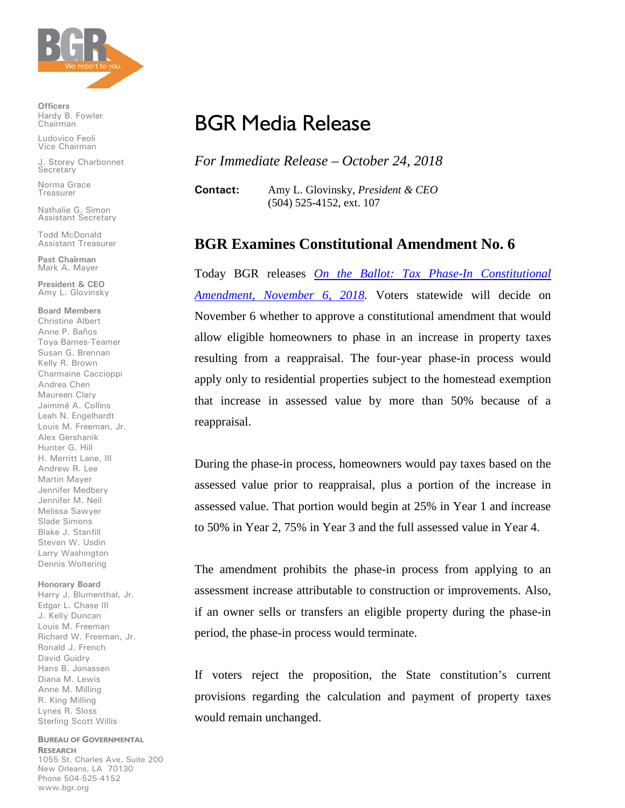

**Officers** Hardy B. Fowler Chairman

Ludovico Feoli Vice Chairman

J. Storey Charbonnet **Secretary** 

Norma Grace Treasurer

Nathalie G. Simon Assistant Secretary

Todd McDonald Assistant Treasurer

**Past Chairman** Mark A. Mayer

**President & CEO** Amy L. Glovinsky

**Board Members** Christine Albert Anne P. Baños Toya Barnes-Teamer Susan G. Brennan Kelly R. Brown Charmaine Caccioppi Andrea Chen Maureen Clary Jaimmé A. Collins Leah N. Engelhardt Louis M. Freeman, Jr. Alex Gershanik Hunter G. Hill H. Merritt Lane, III Andrew R. Lee Martin Mayer Jennifer Medbery Jennifer M. Neil Melissa Sawyer Slade Simons Blake J. Stanfill Steven W. Usdin Larry Washington Dennis Woltering

## **Honorary Board**

Harry J. Blumenthal, Jr. Edgar L. Chase III J. Kelly Duncan Louis M. Freeman Richard W. Freeman, Jr. Ronald J. French David Guidry Hans B. Jonassen Diana M. Lewis Anne M. Milling R. King Milling Lynes R. Sloss Sterling Scott Willis

**BUREAU OF GOVERNMENTAL RESEARCH** 1055 St. Charles Ave, Suite 200 New Orleans, LA 70130 Phone 504-525-4152 www.bgr.org

## BGR Media Release

*For Immediate Release – October 24, 2018*

**Contact:** Amy L. Glovinsky, *President & CEO* (504) 525-4152, ext. 107

## **BGR Examines Constitutional Amendment No. 6**

Today BGR releases *[On the Ballot: Tax Phase-In Constitutional](https://www.bgr.org/report/bgr-tax-phase-in-amendment/)  [Amendment, November 6, 2018.](https://www.bgr.org/report/bgr-tax-phase-in-amendment/)* Voters statewide will decide on November 6 whether to approve a constitutional amendment that would allow eligible homeowners to phase in an increase in property taxes resulting from a reappraisal. The four-year phase-in process would apply only to residential properties subject to the homestead exemption that increase in assessed value by more than 50% because of a reappraisal.

During the phase-in process, homeowners would pay taxes based on the assessed value prior to reappraisal, plus a portion of the increase in assessed value. That portion would begin at 25% in Year 1 and increase to 50% in Year 2, 75% in Year 3 and the full assessed value in Year 4.

The amendment prohibits the phase-in process from applying to an assessment increase attributable to construction or improvements. Also, if an owner sells or transfers an eligible property during the phase-in period, the phase-in process would terminate.

If voters reject the proposition, the State constitution's current provisions regarding the calculation and payment of property taxes would remain unchanged.